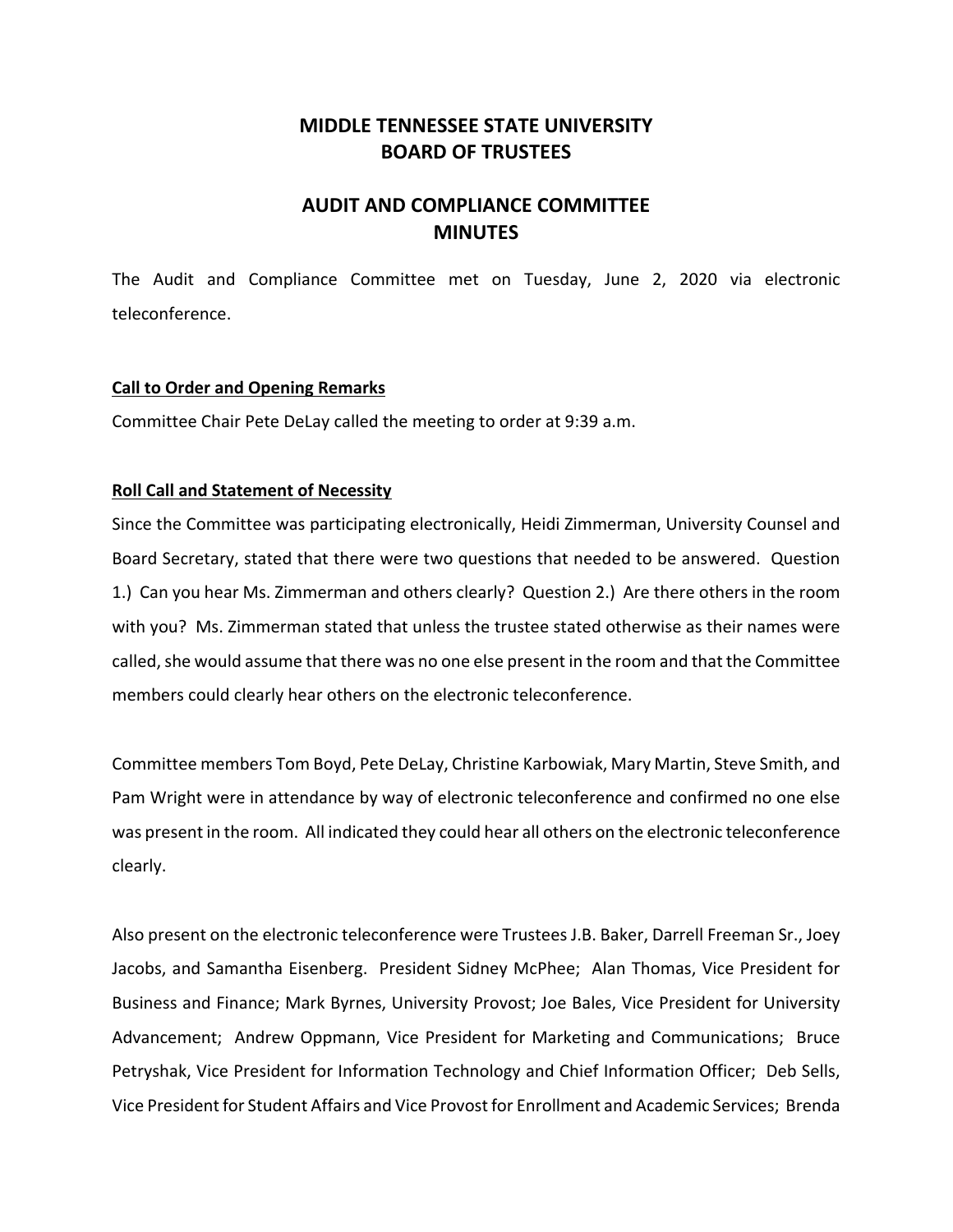# **MIDDLE TENNESSEE STATE UNIVERSITY BOARD OF TRUSTEES**

# **AUDIT AND COMPLIANCE COMMITTEE MINUTES**

The Audit and Compliance Committee met on Tuesday, June 2, 2020 via electronic teleconference.

### **Call to Order and Opening Remarks**

Committee Chair Pete DeLay called the meeting to order at 9:39 a.m.

### **Roll Call and Statement of Necessity**

Since the Committee was participating electronically, Heidi Zimmerman, University Counsel and Board Secretary, stated that there were two questions that needed to be answered. Question 1.) Can you hear Ms. Zimmerman and others clearly? Question 2.) Are there others in the room with you? Ms. Zimmerman stated that unless the trustee stated otherwise as their names were called, she would assume that there was no one else present in the room and that the Committee members could clearly hear others on the electronic teleconference.

Committee members Tom Boyd, Pete DeLay, Christine Karbowiak, Mary Martin, Steve Smith, and Pam Wright were in attendance by way of electronic teleconference and confirmed no one else was present in the room. All indicated they could hear all others on the electronic teleconference clearly.

Also present on the electronic teleconference were Trustees J.B. Baker, Darrell Freeman Sr., Joey Jacobs, and Samantha Eisenberg. President Sidney McPhee; Alan Thomas, Vice President for Business and Finance; Mark Byrnes, University Provost; Joe Bales, Vice President for University Advancement; Andrew Oppmann, Vice President for Marketing and Communications; Bruce Petryshak, Vice President for Information Technology and Chief Information Officer; Deb Sells, Vice President for Student Affairs and Vice Provost for Enrollment and Academic Services; Brenda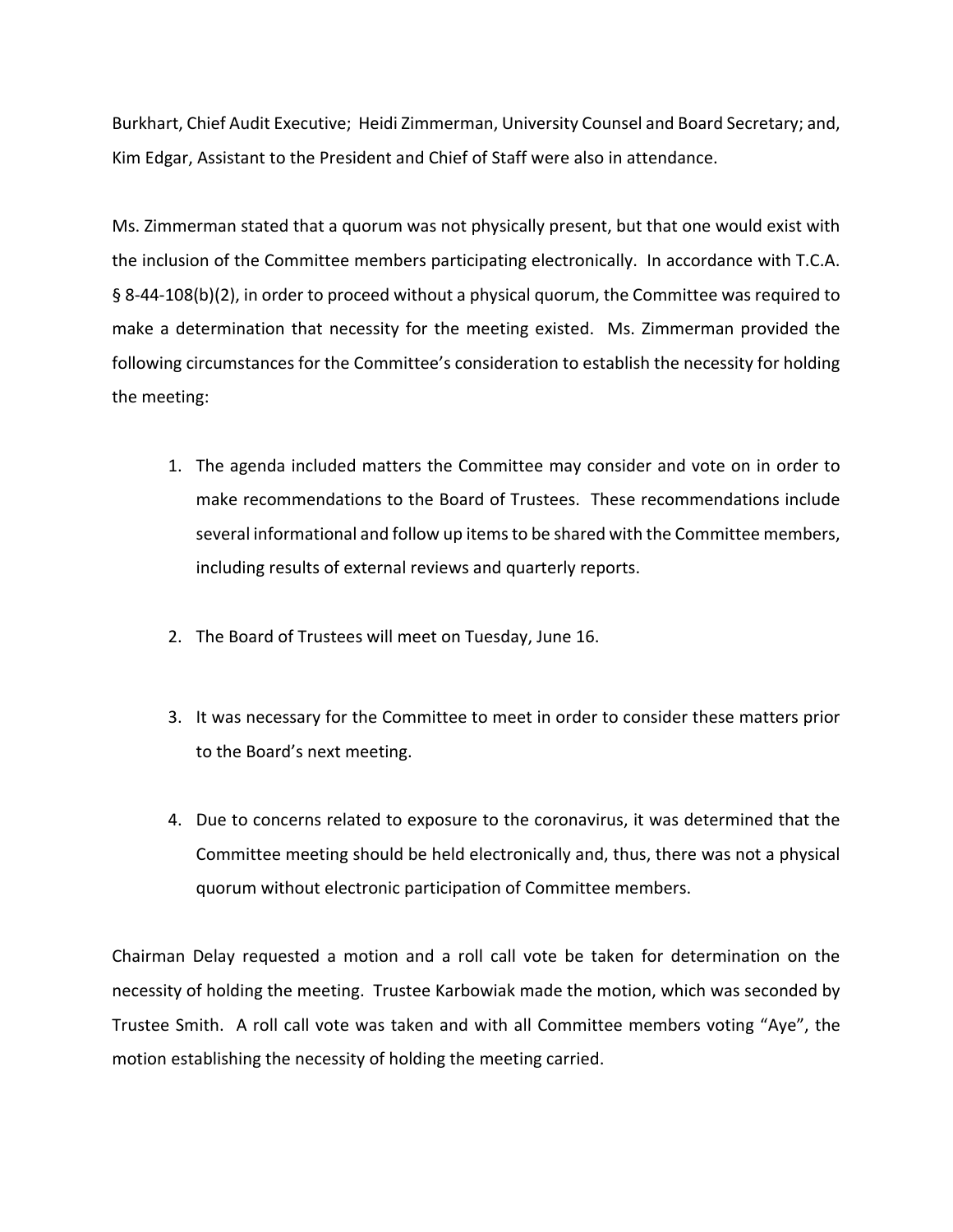Burkhart, Chief Audit Executive; Heidi Zimmerman, University Counsel and Board Secretary; and, Kim Edgar, Assistant to the President and Chief of Staff were also in attendance.

Ms. Zimmerman stated that a quorum was not physically present, but that one would exist with the inclusion of the Committee members participating electronically. In accordance with T.C.A. § 8‐44‐108(b)(2), in order to proceed without a physical quorum, the Committee was required to make a determination that necessity for the meeting existed. Ms. Zimmerman provided the following circumstances for the Committee's consideration to establish the necessity for holding the meeting:

- 1. The agenda included matters the Committee may consider and vote on in order to make recommendations to the Board of Trustees. These recommendations include several informational and follow up itemsto be shared with the Committee members, including results of external reviews and quarterly reports.
- 2. The Board of Trustees will meet on Tuesday, June 16.
- 3. It was necessary for the Committee to meet in order to consider these matters prior to the Board's next meeting.
- 4. Due to concerns related to exposure to the coronavirus, it was determined that the Committee meeting should be held electronically and, thus, there was not a physical quorum without electronic participation of Committee members.

Chairman Delay requested a motion and a roll call vote be taken for determination on the necessity of holding the meeting. Trustee Karbowiak made the motion, which was seconded by Trustee Smith. A roll call vote was taken and with all Committee members voting "Aye", the motion establishing the necessity of holding the meeting carried.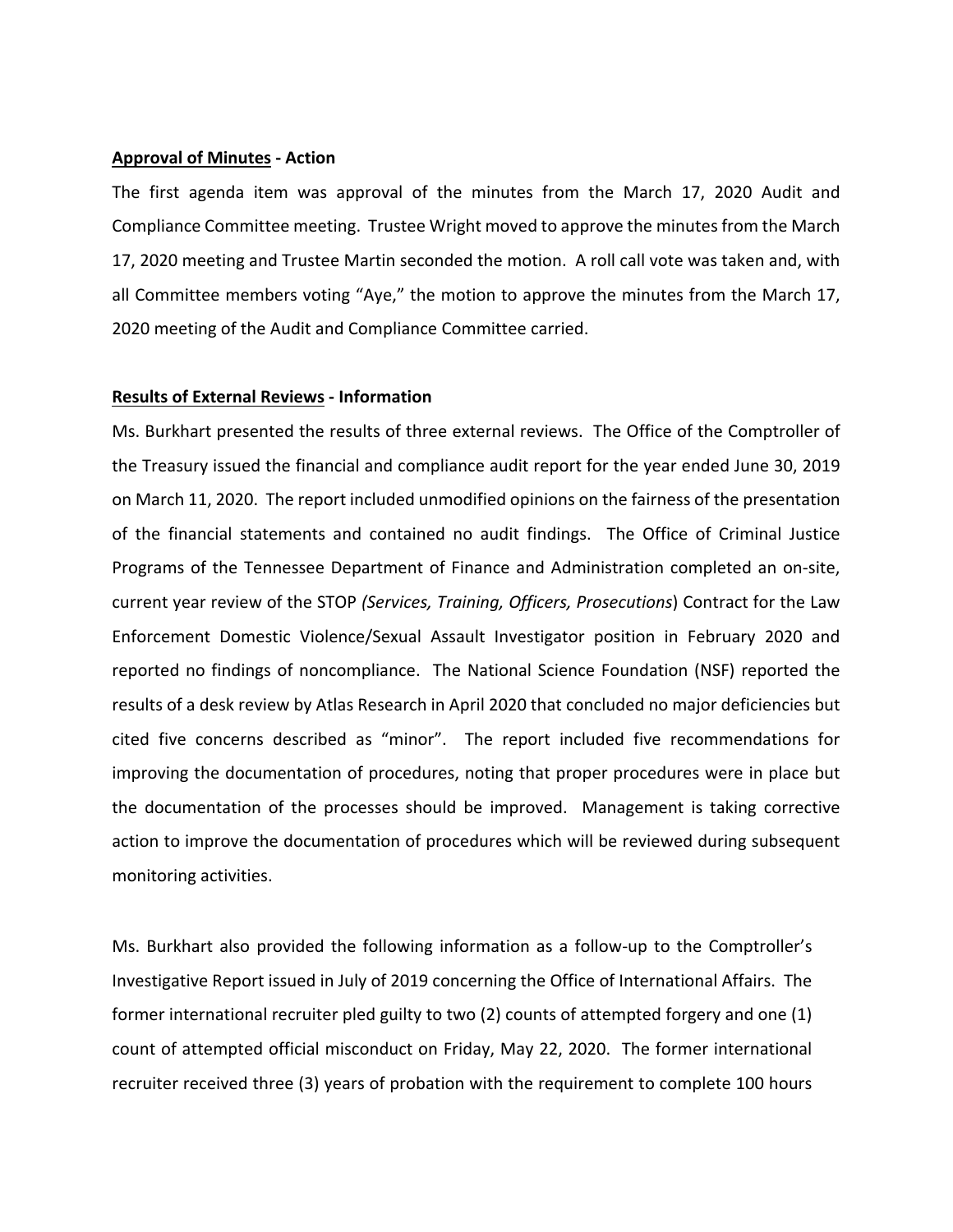#### **Approval of Minutes ‐ Action**

The first agenda item was approval of the minutes from the March 17, 2020 Audit and Compliance Committee meeting. Trustee Wright moved to approve the minutesfrom the March 17, 2020 meeting and Trustee Martin seconded the motion. A roll call vote was taken and, with all Committee members voting "Aye," the motion to approve the minutes from the March 17, 2020 meeting of the Audit and Compliance Committee carried.

#### **Results of External Reviews ‐ Information**

Ms. Burkhart presented the results of three external reviews. The Office of the Comptroller of the Treasury issued the financial and compliance audit report for the year ended June 30, 2019 on March 11, 2020. The report included unmodified opinions on the fairness of the presentation of the financial statements and contained no audit findings. The Office of Criminal Justice Programs of the Tennessee Department of Finance and Administration completed an on‐site, current year review of the STOP *(Services, Training, Officers, Prosecutions*) Contract for the Law Enforcement Domestic Violence/Sexual Assault Investigator position in February 2020 and reported no findings of noncompliance. The National Science Foundation (NSF) reported the results of a desk review by Atlas Research in April 2020 that concluded no major deficiencies but cited five concerns described as "minor". The report included five recommendations for improving the documentation of procedures, noting that proper procedures were in place but the documentation of the processes should be improved. Management is taking corrective action to improve the documentation of procedures which will be reviewed during subsequent monitoring activities.

Ms. Burkhart also provided the following information as a follow‐up to the Comptroller's Investigative Report issued in July of 2019 concerning the Office of International Affairs. The former international recruiter pled guilty to two (2) counts of attempted forgery and one (1) count of attempted official misconduct on Friday, May 22, 2020. The former international recruiter received three (3) years of probation with the requirement to complete 100 hours